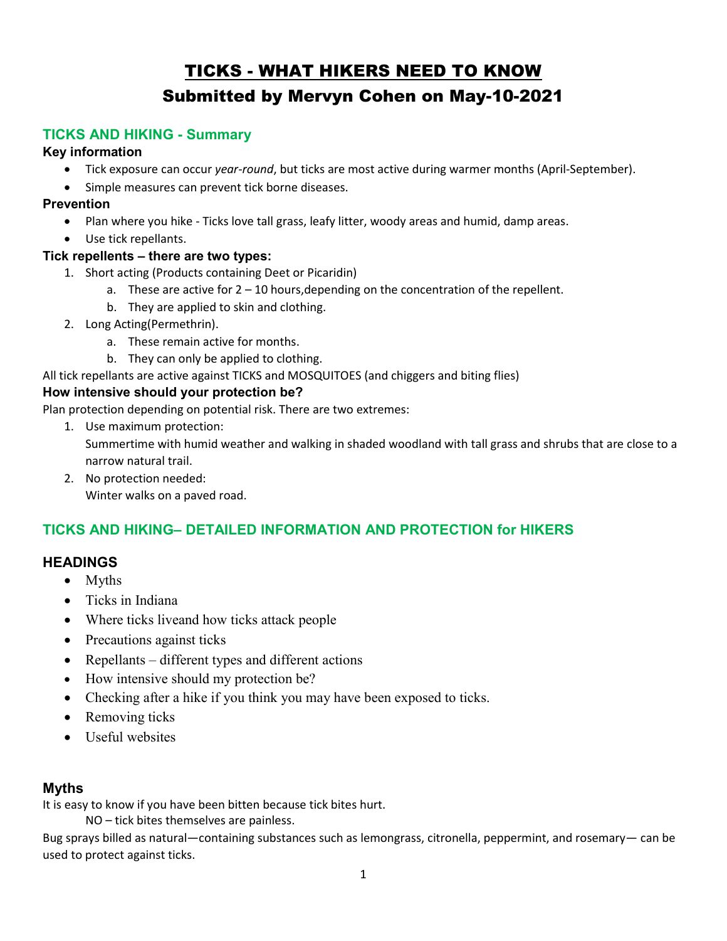# TICKS - WHAT HIKERS NEED TO KNOW Submitted by Mervyn Cohen on May-10-2021

## TICKS AND HIKING - Summary

#### Key information

- Tick exposure can occur year-round, but ticks are most active during warmer months (April-September).
- Simple measures can prevent tick borne diseases.

### Prevention

- Plan where you hike Ticks love tall grass, leafy litter, woody areas and humid, damp areas.
- Use tick repellants.

## Tick repellents – there are two types:

- 1. Short acting (Products containing Deet or Picaridin)
	- a. These are active for  $2 10$  hours, depending on the concentration of the repellent.
	- b. They are applied to skin and clothing.
- 2. Long Acting(Permethrin).
	- a. These remain active for months.
	- b. They can only be applied to clothing.

All tick repellants are active against TICKS and MOSQUITOES (and chiggers and biting flies)

#### How intensive should your protection be?

Plan protection depending on potential risk. There are two extremes:

1. Use maximum protection:

Summertime with humid weather and walking in shaded woodland with tall grass and shrubs that are close to a narrow natural trail.

2. No protection needed: Winter walks on a paved road.

## TICKS AND HIKING– DETAILED INFORMATION AND PROTECTION for HIKERS

## **HEADINGS**

- Myths
- Ticks in Indiana
- Where ticks liveand how ticks attack people
- Precautions against ticks
- Repellants different types and different actions
- How intensive should my protection be?
- Checking after a hike if you think you may have been exposed to ticks.
- Removing ticks
- Useful websites

## Myths

It is easy to know if you have been bitten because tick bites hurt.

NO – tick bites themselves are painless.

Bug sprays billed as natural—containing substances such as lemongrass, citronella, peppermint, and rosemary— can be used to protect against ticks.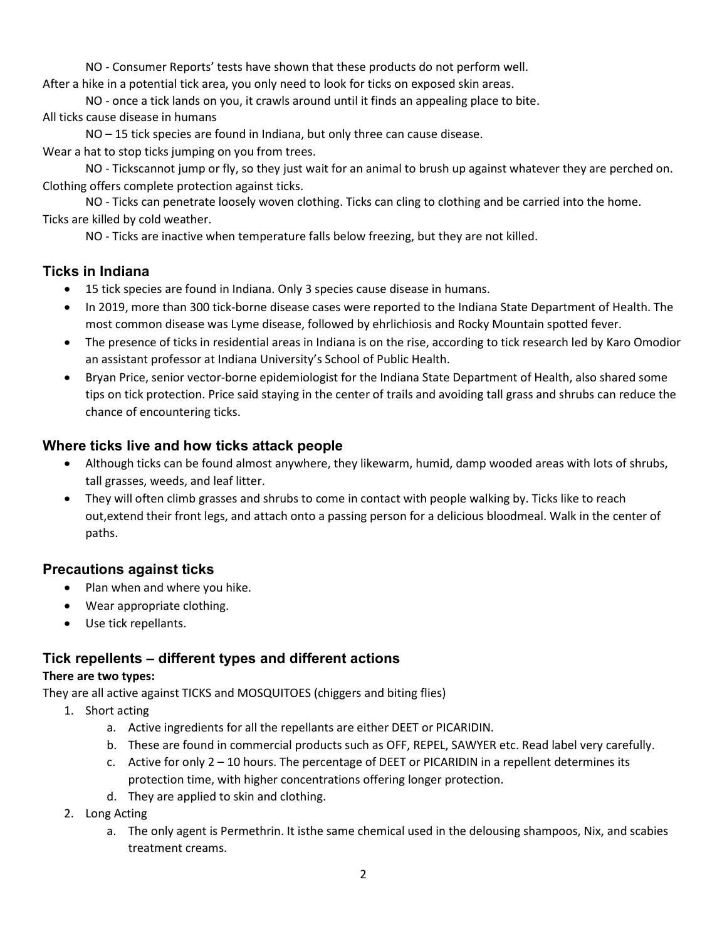NO - Consumer Reports' tests have shown that these products do not perform well.

After a hike in a potential tick area, you only need to look for ticks on exposed skin areas.

NO - once a tick lands on you, it crawls around until it finds an appealing place to bite. All ticks cause disease in humans

NO – 15 tick species are found in Indiana, but only three can cause disease.

Wear a hat to stop ticks jumping on you from trees.

NO - Tickscannot jump or fly, so they just wait for an animal to brush up against whatever they are perched on. Clothing offers complete protection against ticks.

 NO - Ticks can penetrate loosely woven clothing. Ticks can cling to clothing and be carried into the home. Ticks are killed by cold weather.

NO - Ticks are inactive when temperature falls below freezing, but they are not killed.

#### Ticks in Indiana

- 15 tick species are found in Indiana. Only 3 species cause disease in humans.
- In 2019, more than 300 tick-borne disease cases were reported to the Indiana State Department of Health. The most common disease was Lyme disease, followed by ehrlichiosis and Rocky Mountain spotted fever.
- The presence of ticks in residential areas in Indiana is on the rise, according to tick research led by Karo Omodior an assistant professor at Indiana University's School of Public Health.
- Bryan Price, senior vector-borne epidemiologist for the Indiana State Department of Health, also shared some tips on tick protection. Price said staying in the center of trails and avoiding tall grass and shrubs can reduce the chance of encountering ticks.

#### Where ticks live and how ticks attack people

- Although ticks can be found almost anywhere, they likewarm, humid, damp wooded areas with lots of shrubs, tall grasses, weeds, and leaf litter.
- They will often climb grasses and shrubs to come in contact with people walking by. Ticks like to reach out,extend their front legs, and attach onto a passing person for a delicious bloodmeal. Walk in the center of paths.

#### Precautions against ticks

- Plan when and where you hike.
- Wear appropriate clothing.
- Use tick repellants.

#### Tick repellents – different types and different actions

#### There are two types:

They are all active against TICKS and MOSQUITOES (chiggers and biting flies)

- 1. Short acting
	- a. Active ingredients for all the repellants are either DEET or PICARIDIN.
	- b. These are found in commercial products such as OFF, REPEL, SAWYER etc. Read label very carefully.
	- c. Active for only 2 10 hours. The percentage of DEET or PICARIDIN in a repellent determines its protection time, with higher concentrations offering longer protection.
	- d. They are applied to skin and clothing.
- 2. Long Acting
	- a. The only agent is Permethrin. It isthe same chemical used in the delousing shampoos, Nix, and scabies treatment creams.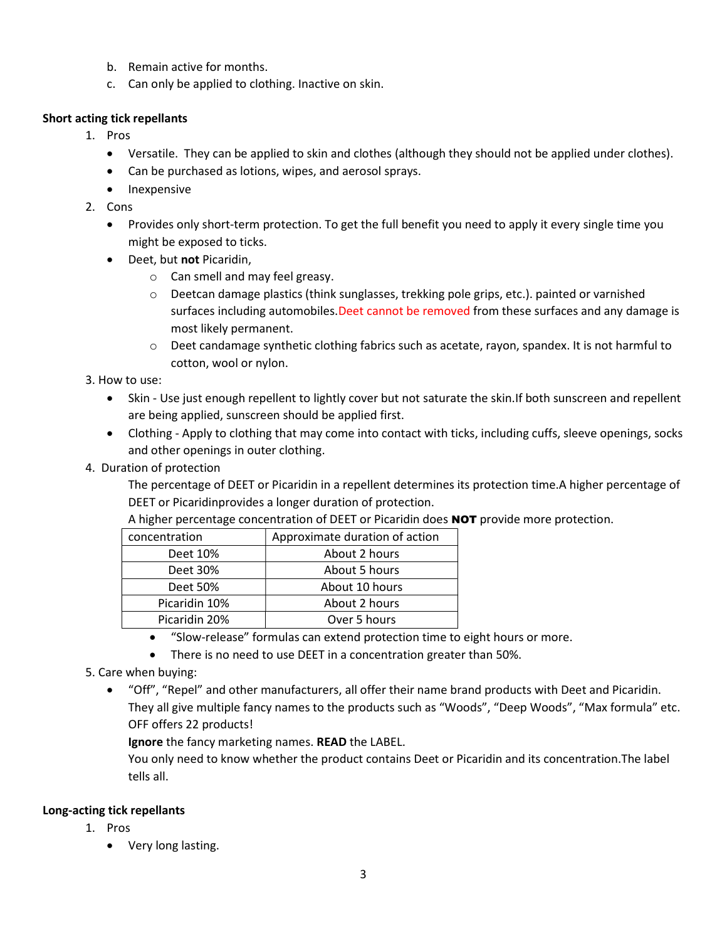- b. Remain active for months.
- c. Can only be applied to clothing. Inactive on skin.

#### Short acting tick repellants

- 1. Pros
	- Versatile. They can be applied to skin and clothes (although they should not be applied under clothes).
	- Can be purchased as lotions, wipes, and aerosol sprays.
	- Inexpensive
- 2. Cons
	- Provides only short-term protection. To get the full benefit you need to apply it every single time you might be exposed to ticks.
	- Deet, but not Picaridin,
		- o Can smell and may feel greasy.
		- o Deetcan damage plastics (think sunglasses, trekking pole grips, etc.). painted or varnished surfaces including automobiles. Deet cannot be removed from these surfaces and any damage is most likely permanent.
		- o Deet candamage synthetic clothing fabrics such as acetate, rayon, spandex. It is not harmful to cotton, wool or nylon.

3. How to use:

- Skin Use just enough repellent to lightly cover but not saturate the skin.If both sunscreen and repellent are being applied, sunscreen should be applied first.
- Clothing Apply to clothing that may come into contact with ticks, including cuffs, sleeve openings, socks and other openings in outer clothing.
- 4. Duration of protection

The percentage of DEET or Picaridin in a repellent determines its protection time.A higher percentage of DEET or Picaridinprovides a longer duration of protection.

A higher percentage concentration of DEET or Picaridin does **NOT** provide more protection.

| concentration | Approximate duration of action |
|---------------|--------------------------------|
| Deet 10%      | About 2 hours                  |
| Deet 30%      | About 5 hours                  |
| Deet 50%      | About 10 hours                 |
| Picaridin 10% | About 2 hours                  |
| Picaridin 20% | Over 5 hours                   |

- "Slow-release" formulas can extend protection time to eight hours or more.
- There is no need to use DEET in a concentration greater than 50%.
- 5. Care when buying:
	- "Off", "Repel" and other manufacturers, all offer their name brand products with Deet and Picaridin. They all give multiple fancy names to the products such as "Woods", "Deep Woods", "Max formula" etc. OFF offers 22 products!

Ignore the fancy marketing names. READ the LABEL.

You only need to know whether the product contains Deet or Picaridin and its concentration.The label tells all.

#### Long-acting tick repellants

- 1. Pros
	- Very long lasting.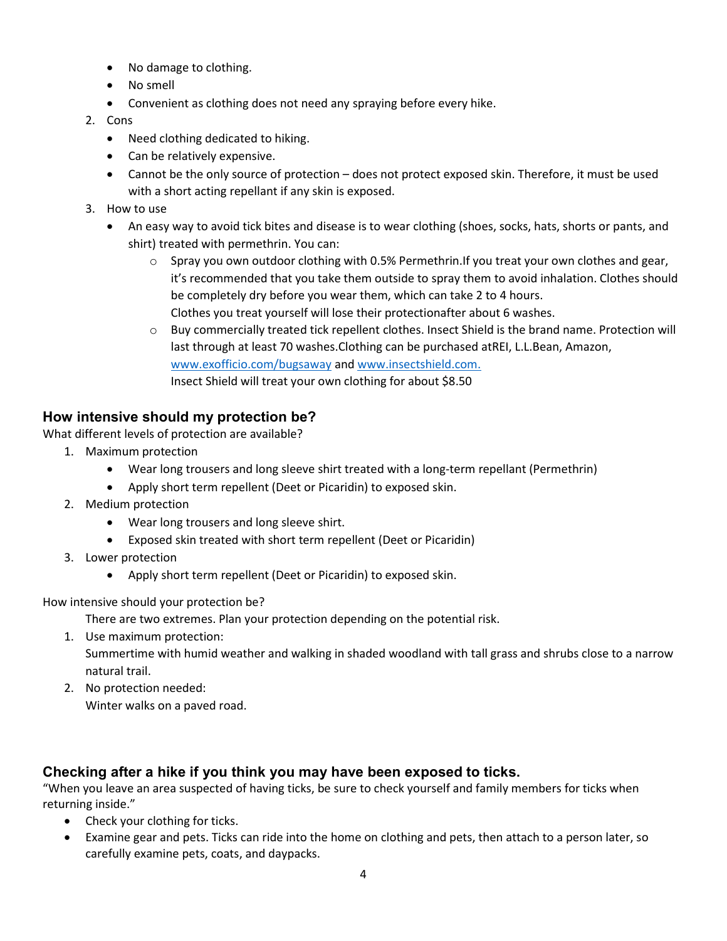- No damage to clothing.
- No smell
- Convenient as clothing does not need any spraying before every hike.

#### 2. Cons

- Need clothing dedicated to hiking.
- Can be relatively expensive.
- Cannot be the only source of protection does not protect exposed skin. Therefore, it must be used with a short acting repellant if any skin is exposed.
- 3. How to use
	- An easy way to avoid tick bites and disease is to wear clothing (shoes, socks, hats, shorts or pants, and shirt) treated with permethrin. You can:
		- o Spray you own outdoor clothing with 0.5% Permethrin.If you treat your own clothes and gear, it's recommended that you take them outside to spray them to avoid inhalation. Clothes should be completely dry before you wear them, which can take 2 to 4 hours. Clothes you treat yourself will lose their protectionafter about 6 washes.
		- $\circ$  Buy commercially treated tick repellent clothes. Insect Shield is the brand name. Protection will last through at least 70 washes.Clothing can be purchased atREI, L.L.Bean, Amazon, www.exofficio.com/bugsaway and www.insectshield.com. Insect Shield will treat your own clothing for about \$8.50

## How intensive should my protection be?

What different levels of protection are available?

- 1. Maximum protection
	- Wear long trousers and long sleeve shirt treated with a long-term repellant (Permethrin)
	- Apply short term repellent (Deet or Picaridin) to exposed skin.
- 2. Medium protection
	- Wear long trousers and long sleeve shirt.
	- Exposed skin treated with short term repellent (Deet or Picaridin)
- 3. Lower protection
	- Apply short term repellent (Deet or Picaridin) to exposed skin.

#### How intensive should your protection be?

There are two extremes. Plan your protection depending on the potential risk.

1. Use maximum protection:

Summertime with humid weather and walking in shaded woodland with tall grass and shrubs close to a narrow natural trail.

2. No protection needed: Winter walks on a paved road.

## Checking after a hike if you think you may have been exposed to ticks.

"When you leave an area suspected of having ticks, be sure to check yourself and family members for ticks when returning inside."

- Check your clothing for ticks.
- Examine gear and pets. Ticks can ride into the home on clothing and pets, then attach to a person later, so carefully examine pets, coats, and daypacks.